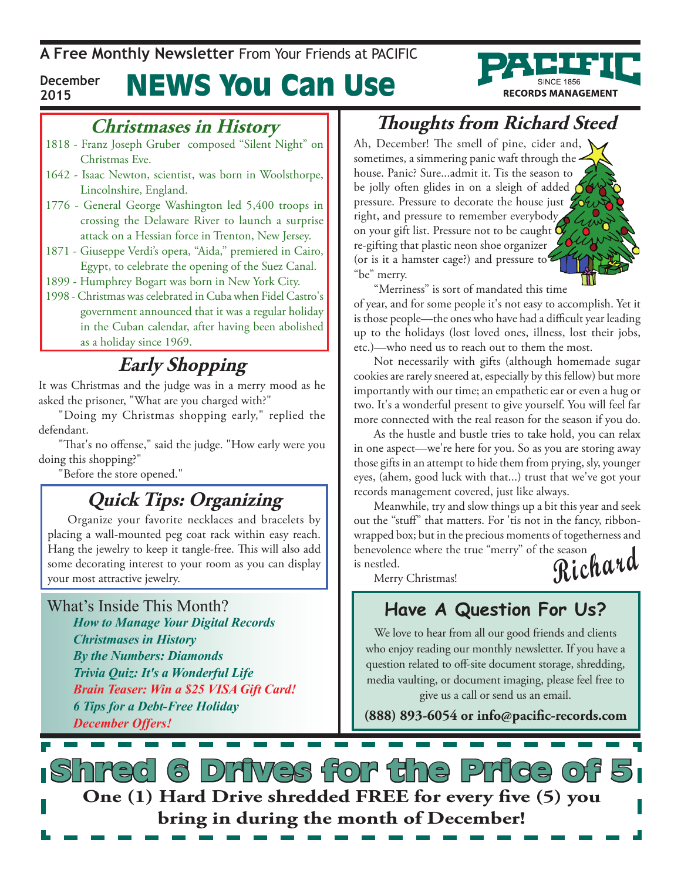**A Free Monthly Newsletter** From Your Friends at Pacific

#### News You Can Use **December 2015**

### **Christmases in History**

- 1818 Franz Joseph Gruber composed "Silent Night" on Christmas Eve.
- 1642 Isaac Newton, scientist, was born in Woolsthorpe, Lincolnshire, England.
- 1776 General George Washington led 5,400 troops in crossing the Delaware River to launch a surprise attack on a Hessian force in Trenton, New Jersey.
- 1871 Giuseppe Verdi's opera, "Aida," premiered in Cairo, Egypt, to celebrate the opening of the Suez Canal.
- 1899 Humphrey Bogart was born in New York City.
- 1998 Christmas was celebrated in Cuba when Fidel Castro's government announced that it was a regular holiday in the Cuban calendar, after having been abolished as a holiday since 1969.

### **Early Shopping**

It was Christmas and the judge was in a merry mood as he asked the prisoner, "What are you charged with?"

"Doing my Christmas shopping early," replied the defendant.

"That's no offense," said the judge. "How early were you doing this shopping?"

"Before the store opened."

### **Quick Tips: Organizing**

Organize your favorite necklaces and bracelets by placing a wall-mounted peg coat rack within easy reach. Hang the jewelry to keep it tangle-free. This will also add some decorating interest to your room as you can display your most attractive jewelry.

What's Inside This Month? *How to Manage Your Digital Records Christmases in History By the Numbers: Diamonds Trivia Quiz: It's a Wonderful Life Brain Teaser: Win a \$25 VISA Gift Card! 6 Tips for a Debt-Free Holiday December Offers!*

### **Thoughts from Richard Steed**

**RECORDS MANAGEMENT** 

Ah, December! The smell of pine, cider and, sometimes, a simmering panic waft through the house. Panic? Sure...admit it. Tis the season to be jolly often glides in on a sleigh of added  $\bigcirc$ pressure. Pressure to decorate the house just  $Z_0$ right, and pressure to remember everybody on your gift list. Pressure not to be caught  $\mathbf C$ re-gifting that plastic neon shoe organizer (or is it a hamster cage?) and pressure to "be" merry.

"Merriness" is sort of mandated this time

of year, and for some people it's not easy to accomplish. Yet it is those people—the ones who have had a difficult year leading up to the holidays (lost loved ones, illness, lost their jobs, etc.)—who need us to reach out to them the most.

Not necessarily with gifts (although homemade sugar cookies are rarely sneered at, especially by this fellow) but more importantly with our time; an empathetic ear or even a hug or two. It's a wonderful present to give yourself. You will feel far more connected with the real reason for the season if you do.

As the hustle and bustle tries to take hold, you can relax in one aspect—we're here for you. So as you are storing away those gifts in an attempt to hide them from prying, sly, younger eyes, (ahem, good luck with that...) trust that we've got your records management covered, just like always.

**Richard** Meanwhile, try and slow things up a bit this year and seek out the "stuff" that matters. For 'tis not in the fancy, ribbonwrapped box; but in the precious moments of togetherness and benevolence where the true "merry" of the season is nestled.

Merry Christmas!

### **Have A Question For Us?**

We love to hear from all our good friends and clients who enjoy reading our monthly newsletter. If you have a question related to off-site document storage, shredding, media vaulting, or document imaging, please feel free to give us a call or send us an email.

**(888) 893-6054 or info@pacific-records.com**

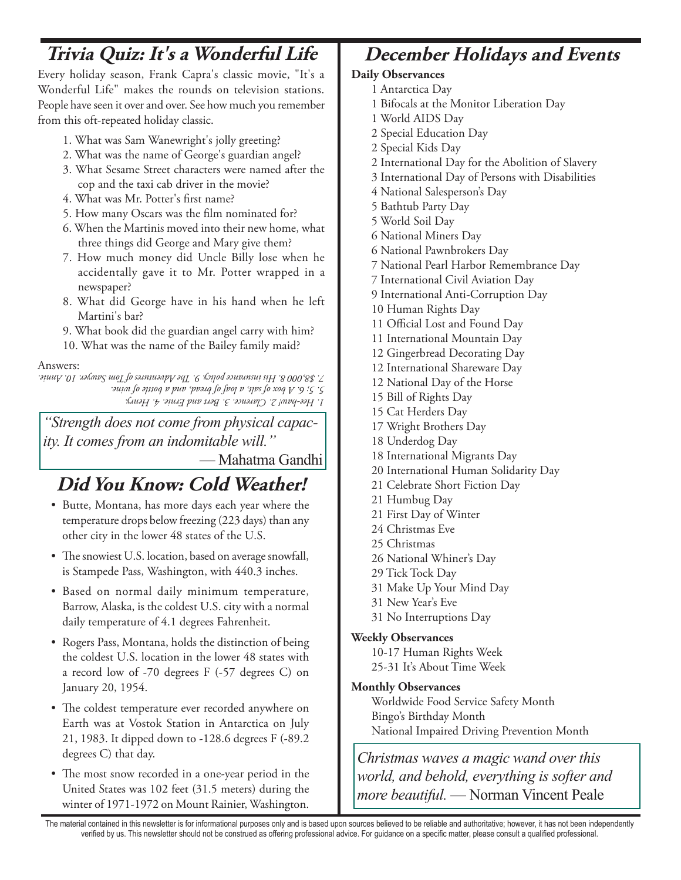### **Trivia Quiz: It's a Wonderful Life December Holidays and Events**

Every holiday season, Frank Capra's classic movie, "It's a Wonderful Life" makes the rounds on television stations. People have seen it over and over. See how much you remember from this oft-repeated holiday classic.

- 1. What was Sam Wanewright's jolly greeting?
- 2. What was the name of George's guardian angel?
- 3. What Sesame Street characters were named after the cop and the taxi cab driver in the movie?
- 4. What was Mr. Potter's first name?
- 5. How many Oscars was the film nominated for?
- 6. When the Martinis moved into their new home, what three things did George and Mary give them?
- 7. How much money did Uncle Billy lose when he accidentally gave it to Mr. Potter wrapped in a newspaper?
- 8. What did George have in his hand when he left Martini's bar?
- 9. What book did the guardian angel carry with him?

10. What was the name of the Bailey family maid?

#### Answers:

*1. Hee-haw! 2. Clarence. 3. Bert and Ernie. 4. Henry. 5. 5; 6. A box of salt, a loaf of bread, and a bottle of wine. 7. \$8,000 8. His insurance policy. 9. The Adventures of Tom Sawyer. 10. Annie.*

*"Strength does not come from physical capacity. It comes from an indomitable will."*

— Mahatma Gandhi

### **Did You Know: Cold Weather!**

- • Butte, Montana, has more days each year where the temperature drops below freezing (223 days) than any other city in the lower 48 states of the U.S.
- The snowiest U.S. location, based on average snowfall, is Stampede Pass, Washington, with 440.3 inches.
- • Based on normal daily minimum temperature, Barrow, Alaska, is the coldest U.S. city with a normal daily temperature of 4.1 degrees Fahrenheit.
- Rogers Pass, Montana, holds the distinction of being the coldest U.S. location in the lower 48 states with a record low of -70 degrees F (-57 degrees C) on January 20, 1954.
- The coldest temperature ever recorded anywhere on Earth was at Vostok Station in Antarctica on July 21, 1983. It dipped down to -128.6 degrees F (-89.2 degrees C) that day.
- The most snow recorded in a one-year period in the United States was 102 feet (31.5 meters) during the winter of 1971-1972 on Mount Rainier, Washington.

#### **Daily Observances**

- 1 Antarctica Day
- 1 Bifocals at the Monitor Liberation Day
- 1 World AIDS Day
- 2 Special Education Day
- 2 Special Kids Day
- 2 International Day for the Abolition of Slavery
- 3 International Day of Persons with Disabilities
- 4 National Salesperson's Day
- 5 Bathtub Party Day
- 5 World Soil Day
- 6 National Miners Day
- 6 National Pawnbrokers Day
- 7 National Pearl Harbor Remembrance Day
- 7 International Civil Aviation Day
- 9 International Anti-Corruption Day
- 10 Human Rights Day
- 11 Official Lost and Found Day
- 11 International Mountain Day
- 12 Gingerbread Decorating Day
- 12 International Shareware Day
- 12 National Day of the Horse
- 15 Bill of Rights Day
- 15 Cat Herders Day
- 17 Wright Brothers Day
- 18 Underdog Day
- 18 International Migrants Day
- 20 International Human Solidarity Day
- 21 Celebrate Short Fiction Day
- 21 Humbug Day
- 21 First Day of Winter
- 24 Christmas Eve
- 25 Christmas
- 26 National Whiner's Day
- 29 Tick Tock Day
- 31 Make Up Your Mind Day
- 31 New Year's Eve
- 31 No Interruptions Day

#### **Weekly Observances**

10-17 Human Rights Week 25-31 It's About Time Week

#### **Monthly Observances**

Worldwide Food Service Safety Month Bingo's Birthday Month National Impaired Driving Prevention Month

*Christmas waves a magic wand over this world, and behold, everything is softer and more beautiful.* — Norman Vincent Peale

The material contained in this newsletter is for informational purposes only and is based upon sources believed to be reliable and authoritative; however, it has not been independently verified by us. This newsletter should not be construed as offering professional advice. For guidance on a specific matter, please consult a qualified professional.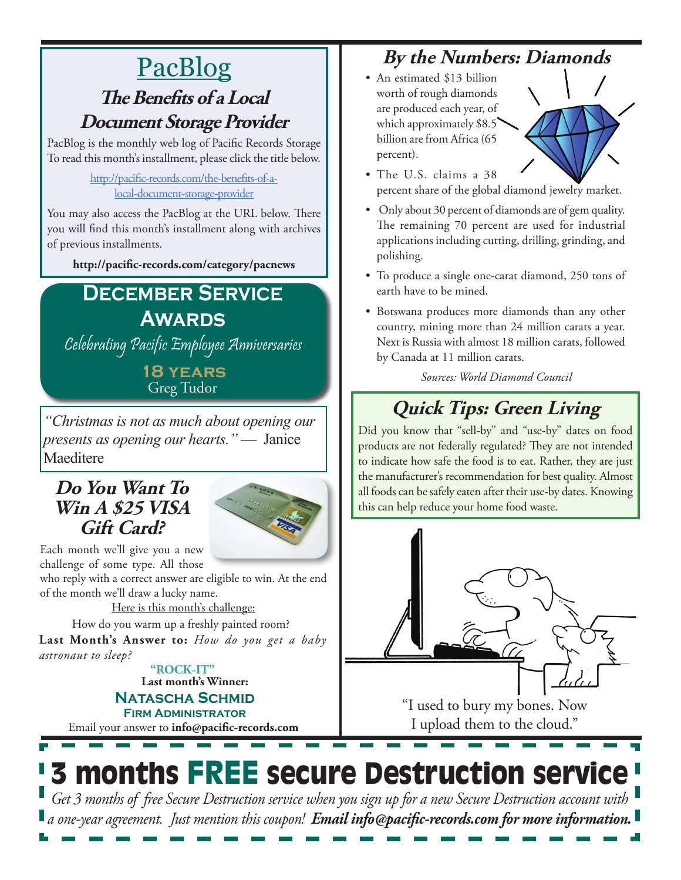### PacBlog **The Benefits of a Local Document Storage Provider**

PacBlog is the monthly web log of Pacific Records Storage To read this month's installment, please click the title below.

#### [http://pacific-records.com/the-benefits-of-a](http://pacific-records.com/the-benefits-of-a-local-document-storage-provider)[local-document-storage-provider](http://pacific-records.com/the-benefits-of-a-local-document-storage-provider)

You may also access the PacBlog at the URL below. There you will find this month's installment along with archives of previous installments.

**http://pacific-records.com/category/pacnews**

### **December Service Awards**

Celebrating Pacific Employee Anniversaries

**18 years** Greg Tudor

*"Christmas is not as much about opening our presents as opening our hearts."* — Janice Maeditere

#### **Do You Want To Win A \$25 VISA Gift Card?**



Each month we'll give you a new challenge of some type. All those

who reply with a correct answer are eligible to win. At the end of the month we'll draw a lucky name.

Here is this month's challenge:

How do you warm up a freshly painted room?

**Last Month's Answer to:** *How do you get a baby astronaut to sleep?*

> Email your answer to **info@pacific-records.com Last month's Winner: Natascha Schmid Firm Administrator "ROCK-IT"**

### **By the Numbers: Diamonds**

• An estimated \$13 billion worth of rough diamonds are produced each year, of which approximately \$8.5 billion are from Africa (65 percent).



- The U.S. claims a 38 percent share of the global diamond jewelry market.
- Only about 30 percent of diamonds are of gem quality. The remaining 70 percent are used for industrial applications including cutting, drilling, grinding, and polishing.
- To produce a single one-carat diamond, 250 tons of earth have to be mined.
- Botswana produces more diamonds than any other country, mining more than 24 million carats a year. Next is Russia with almost 18 million carats, followed by Canada at 11 million carats.

*Sources: World Diamond Council*

### **Quick Tips: Green Living**

Did you know that "sell-by" and "use-by" dates on food products are not federally regulated? They are not intended to indicate how safe the food is to eat. Rather, they are just the manufacturer's recommendation for best quality. Almost all foods can be safely eaten after their use-by dates. Knowing this can help reduce your home food waste.



"I used to bury my bones. Now I upload them to the cloud."

# 3 months FREE secure Destruction service

*Get 3 months of free Secure Destruction service when you sign up for a new Secure Destruction account with a one-year agreement. Just mention this coupon! Email info@pacific-records.com for more information.*